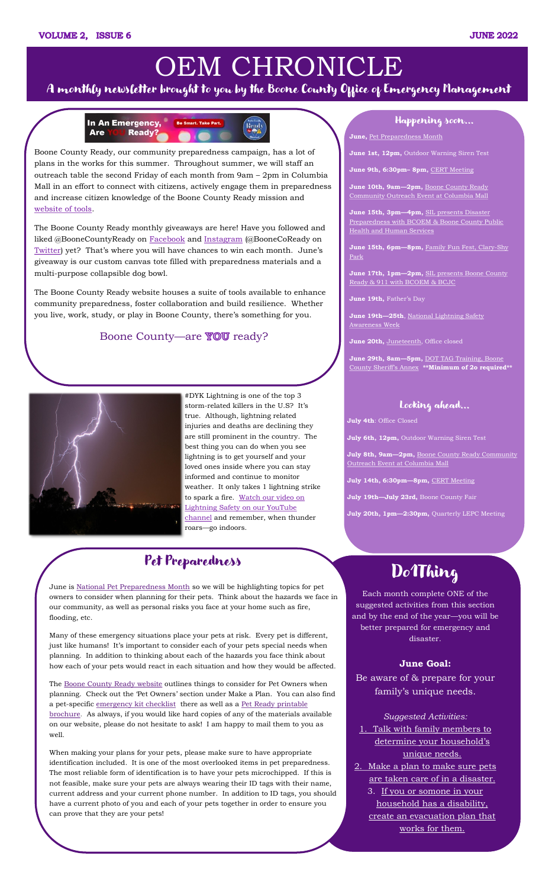### **JUNE 2022**

# OEM CHRONICLE

# A monthly newsletter brought to you by the Boone County Office of Emergency Management

#### In An Emergency, **Ready?** Are



### Happening soon...

**June,** [Pet Preparedness Month](http://ready.boonemo.org/#po)

**June 1st, 12pm,** Outdoor Warning Siren Test

**June 9th, 6:30pm– 8pm,** [CERT Meeting](https://www.showmeboone.com/oem/training/cert/)

**June 10th, 9am—2pm,** [Boone County Ready](https://www.visitcolumbiamall.com/en/events.html)  [Community Outreach Event at Columbia Mall](https://www.visitcolumbiamall.com/en/events.html)

**June 15th, 3pm—4pm,** [SIL presents Disaster](file:///S:/EM/Public Outreach/Outreach Events/SIL Safety Month Presentations/sil safety month letter copys (002).pdf)  [Preparedness with BCOEM & Boone County Public](file:///S:/EM/Public Outreach/Outreach Events/SIL Safety Month Presentations/sil safety month letter copys (002).pdf)  [Health and Human Services](file:///S:/EM/Public Outreach/Outreach Events/SIL Safety Month Presentations/sil safety month letter copys (002).pdf)

**June 15th, 6pm—8pm,** [Family Fun Fest, Clary-Shy](file:///S:/EM/Public Outreach/Outreach Events/Family Fun Fests/2022/2022 Fun Fest Poster (1).png)  [Park](file:///S:/EM/Public Outreach/Outreach Events/Family Fun Fests/2022/2022 Fun Fest Poster (1).png) 

**June 17th, 1pm—2pm,** [SIL presents Boone County](file:///S:/EM/Public Outreach/Outreach Events/SIL Safety Month Presentations/sil safety month letter copys (002).pdf)  [Ready & 911 with BCOEM & BCJC](file:///S:/EM/Public Outreach/Outreach Events/SIL Safety Month Presentations/sil safety month letter copys (002).pdf)

**June 19th,** Father's Day

**June 19th—25th**, [National Lightning Safety](http://www.lightningsafetycouncil.org/LSC-LSAW.html)  [Awareness Week](http://www.lightningsafetycouncil.org/LSC-LSAW.html)

**June 20th,** [Juneteenth,](https://www.history.com/news/what-is-juneteenth) Office closed

**June 29th, 8am—5pm,** [DOT TAG Training, Boone](file:///S:/EM/LEPC/10. Training & Exercises/2022/DOT TAG/DOT TAG Flyer Columbia MO 6.29.2022 FINAL.pdf)  [County Sheriff's Annex](file:///S:/EM/LEPC/10. Training & Exercises/2022/DOT TAG/DOT TAG Flyer Columbia MO 6.29.2022 FINAL.pdf) **\*\*Minimum of 2o required\*\***

## Looking ahead...

Boone County Ready, our community preparedness campaign, has a lot of plans in the works for this summer. Throughout summer, we will staff an outreach table the second Friday of each month from 9am – 2pm in Columbia Mall in an effort to connect with citizens, actively engage them in preparedness and increase citizen knowledge of the Boone County Ready mission and [website of tools.](ready.boonemo.org) 

The Boone County Ready monthly giveaways are here! Have you followed and liked @BooneCountyReady on [Facebook](https://www.facebook.com/boonecountyready) and [Instagram](https://www.instagram.com/boonecountyoem/) (@BooneCoReady on [Twitter](https://twitter.com/boonecoready)) yet? That's where you will have chances to win each month. June's giveaway is our custom canvas tote filled with preparedness materials and a multi-purpose collapsible dog bowl.

June is [National Pet Preparedness Month](https://www.ready.gov/pets) so we will be highlighting topics for pet owners to consider when planning for their pets. Think about the hazards we face in our community, as well as personal risks you face at your home such as fire, flooding, etc.

The Boone County Ready website houses a suite of tools available to enhance community preparedness, foster collaboration and build resilience. Whether you live, work, study, or play in Boone County, there's something for you.

# Boone County—are **YOU** ready?



# Do1Thing

Each month complete ONE of the suggested activities from this section and by the end of the year—you will be better prepared for emergency and disaster.

The [Boone County Ready website](http://ready.boonemo.org/#po) outlines things to consider for Pet Owners when planning. Check out the 'Pet Owners' section under Make a Plan. You can also find a pet-specific [emergency kit checklist](http://ready.boonemo.org/#po) there as well as a Pet Ready printable [brochure.](https://www.showmeboone.com/OEM/WebPublish/ready/Pet%20Preparedness%20Brochure%20Printable.pdf) As always, if you would like hard copies of any of the materials available on our website, please do not hesitate to ask! I am happy to mail them to you as well.

#### **June Goal:**

Be aware of & prepare for your family's unique needs.

*Suggested Activities:*  1. [Talk with family members to](https://www.do1thing.com/individuals/unique-family-needs/)  [determine your household's](https://www.do1thing.com/individuals/unique-family-needs/)  [unique needs.](https://www.do1thing.com/individuals/unique-family-needs/)

2. [Make a plan to make sure pets](https://www.do1thing.com/individuals/unique-family-needs/)  [are taken care of in a disaster.](https://www.do1thing.com/individuals/unique-family-needs/)

3. [If you or somone in your](https://www.do1thing.com/individuals/unique-family-needs/)  [household has a disability,](https://www.do1thing.com/individuals/unique-family-needs/)  [create an evacuation plan that](https://www.do1thing.com/individuals/unique-family-needs/) 

[works for them.](https://www.do1thing.com/individuals/unique-family-needs/)

#DYK Lightning is one of the top 3 storm-related killers in the U.S? It's true. Although, lightning related injuries and deaths are declining they are still prominent in the country. The best thing you can do when you see lightning is to get yourself and your loved ones inside where you can stay informed and continue to monitor weather. It only takes 1 lightning strike to spark a fire. Watch our video on [Lightning Safety on our YouTube](https://youtu.be/xkzkZdyoheA)  [channel](https://youtu.be/xkzkZdyoheA) and remember, when thunder roars—go indoors.

# Pet Preparedness

Many of these emergency situations place your pets at risk. Every pet is different, just like humans! It's important to consider each of your pets special needs when planning. In addition to thinking about each of the hazards you face think about how each of your pets would react in each situation and how they would be affected.

When making your plans for your pets, please make sure to have appropriate identification included. It is one of the most overlooked items in pet preparedness. The most reliable form of identification is to have your pets microchipped. If this is not feasible, make sure your pets are always wearing their ID tags with their name, current address and your current phone number. In addition to ID tags, you should have a current photo of you and each of your pets together in order to ensure you can prove that they are your pets!

**July 4th**: Office Closed

**July 6th, 12pm,** Outdoor Warning Siren Test

**July 8th, 9am—2pm,** [Boone County Ready Community](https://www.visitcolumbiamall.com/en/events.html)  [Outreach Event at Columbia Mall](https://www.visitcolumbiamall.com/en/events.html)

**July 14th, 6:30pm—8pm,** [CERT Meeting](https://www.showmeboone.com/oem/training/cert/)

**July 19th—July 23rd,** Boone County Fair

**July 20th, 1pm—2:30pm,** Quarterly LEPC Meeting